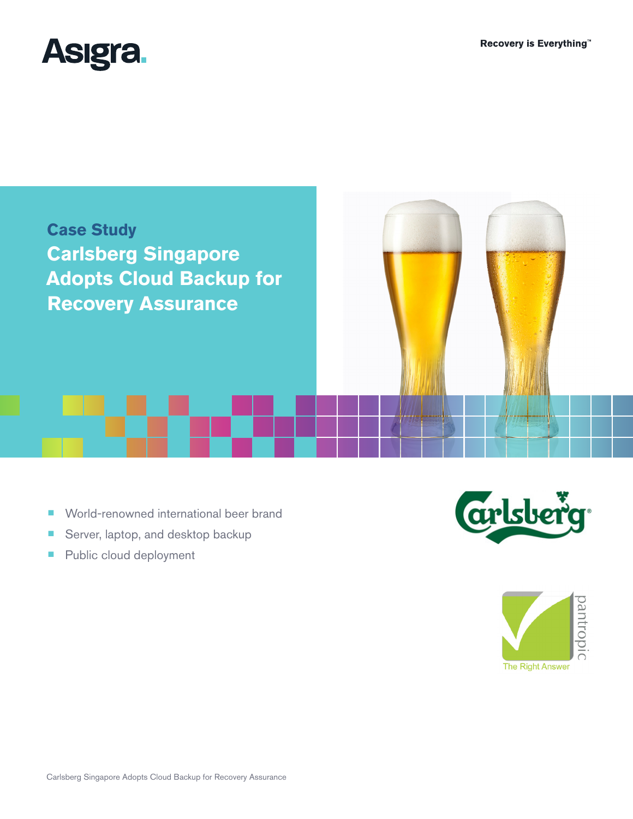



- World-renowned international beer brand
- Server, laptop, and desktop backup
- Public cloud deployment



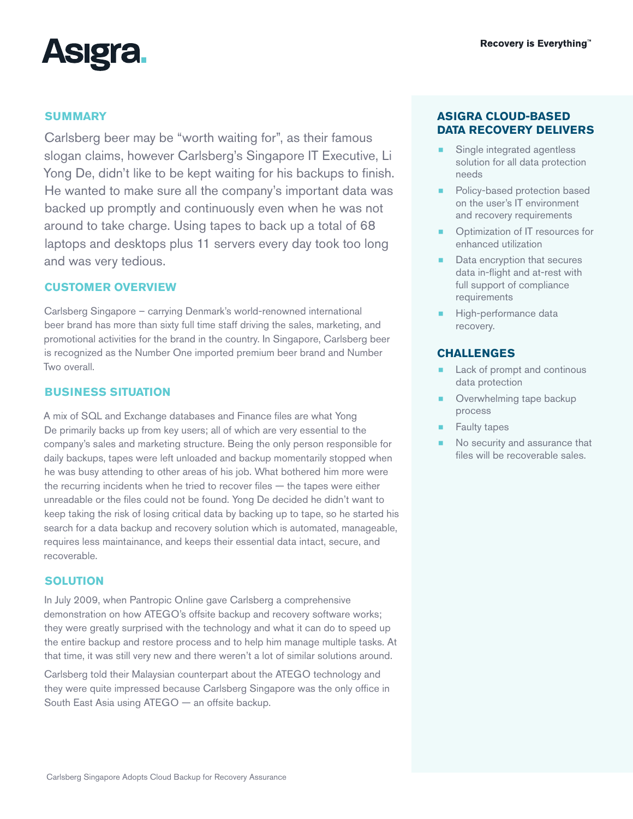

# **SUMMARY**

Carlsberg beer may be "worth waiting for", as their famous slogan claims, however Carlsberg's Singapore IT Executive, Li Yong De, didn't like to be kept waiting for his backups to finish. He wanted to make sure all the company's important data was backed up promptly and continuously even when he was not around to take charge. Using tapes to back up a total of 68 laptops and desktops plus 11 servers every day took too long and was very tedious.

## **CUSTOMER OVERVIEW**

Carlsberg Singapore – carrying Denmark's world-renowned international beer brand has more than sixty full time staff driving the sales, marketing, and promotional activities for the brand in the country. In Singapore, Carlsberg beer is recognized as the Number One imported premium beer brand and Number Two overall.

# **BUSINESS SITUATION**

A mix of SQL and Exchange databases and Finance files are what Yong De primarily backs up from key users; all of which are very essential to the company's sales and marketing structure. Being the only person responsible for daily backups, tapes were left unloaded and backup momentarily stopped when he was busy attending to other areas of his job. What bothered him more were the recurring incidents when he tried to recover files — the tapes were either unreadable or the files could not be found. Yong De decided he didn't want to keep taking the risk of losing critical data by backing up to tape, so he started his search for a data backup and recovery solution which is automated, manageable, requires less maintainance, and keeps their essential data intact, secure, and recoverable.

# **SOLUTION**

In July 2009, when Pantropic Online gave Carlsberg a comprehensive demonstration on how ATEGO's offsite backup and recovery software works; they were greatly surprised with the technology and what it can do to speed up the entire backup and restore process and to help him manage multiple tasks. At that time, it was still very new and there weren't a lot of similar solutions around.

Carlsberg told their Malaysian counterpart about the ATEGO technology and they were quite impressed because Carlsberg Singapore was the only office in South East Asia using ATEGO — an offsite backup.

# **ASIGRA CLOUD-BASED DATA RECOVERY DELIVERS**

- Single integrated agentless solution for all data protection needs
- Policy-based protection based on the user's IT environment and recovery requirements
- Optimization of IT resources for enhanced utilization
- Data encryption that secures data in-flight and at-rest with full support of compliance requirements
- High-performance data recovery.

## **CHALLENGES**

- Lack of prompt and continous data protection
- Overwhelming tape backup process
- **Faulty tapes**
- No security and assurance that files will be recoverable sales.